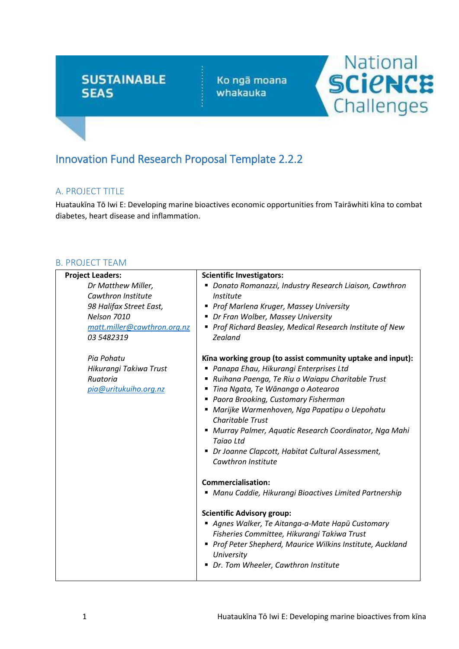# **SUSTAINABLE SEAS**

Ko ngā moana whakauka



# Innovation Fund Research Proposal Template 2.2.2

# A. PROJECT TITLE

Huataukīna Tō Iwi E: Developing marine bioactives economic opportunities from Tairāwhiti kīna to combat diabetes, heart disease and inflammation.

## B. PROJECT TEAM

| <b>Project Leaders:</b>     | <b>Scientific Investigators:</b>                                          |  |
|-----------------------------|---------------------------------------------------------------------------|--|
| Dr Matthew Miller,          | • Donato Romanazzi, Industry Research Liaison, Cawthron                   |  |
| Cawthron Institute          | Institute                                                                 |  |
| 98 Halifax Street East,     | ■ Prof Marlena Kruger, Massey University                                  |  |
| Nelson 7010                 | • Dr Fran Wolber, Massey University                                       |  |
| matt.miller@cawthron.org.nz | ■ Prof Richard Beasley, Medical Research Institute of New                 |  |
| 03 5482319                  | <b>Zealand</b>                                                            |  |
| Pia Pohatu                  | Kina working group (to assist community uptake and input):                |  |
| Hikurangi Takiwa Trust      | ■ Panapa Ehau, Hikurangi Enterprises Ltd                                  |  |
| Ruatoria                    | ■ Ruihana Paenga, Te Riu o Waiapu Charitable Trust                        |  |
| pia@uritukuiho.org.nz       | Tina Ngata, Te Wānanga o Aotearoa<br>п                                    |  |
|                             | ■ Paora Brooking, Customary Fisherman                                     |  |
|                             | ■ Marijke Warmenhoven, Nga Papatipu o Uepohatu<br><b>Charitable Trust</b> |  |
|                             | Murray Palmer, Aquatic Research Coordinator, Nga Mahi<br><b>Taiao Ltd</b> |  |
|                             | • Dr Joanne Clapcott, Habitat Cultural Assessment,<br>Cawthron Institute  |  |
|                             |                                                                           |  |
|                             | Commercialisation:                                                        |  |
|                             | ■ Manu Caddie, Hikurangi Bioactives Limited Partnership                   |  |
|                             | <b>Scientific Advisory group:</b>                                         |  |
|                             | Agnes Walker, Te Aitanga-a-Mate Hapū Customary                            |  |
|                             | Fisheries Committee, Hikurangi Takiwa Trust                               |  |
|                             | ■ Prof Peter Shepherd, Maurice Wilkins Institute, Auckland<br>University  |  |
|                             | Dr. Tom Wheeler, Cawthron Institute                                       |  |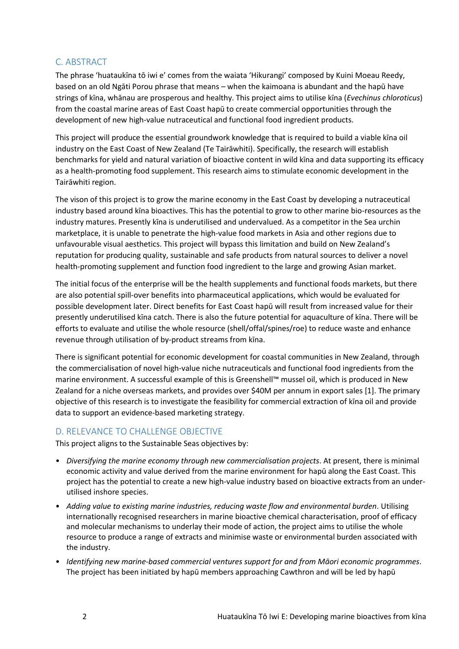## C. ABSTRACT

The phrase 'huataukīna tō iwi e' comes from the waiata 'Hikurangi' composed by Kuini Moeau Reedy, based on an old Ngāti Porou phrase that means – when the kaimoana is abundant and the hapū have strings of kīna, whānau are prosperous and healthy. This project aims to utilise kīna (*Evechinus chloroticus*) from the coastal marine areas of East Coast hapū to create commercial opportunities through the development of new high-value nutraceutical and functional food ingredient products.

This project will produce the essential groundwork knowledge that is required to build a viable kīna oil industry on the East Coast of New Zealand (Te Tairāwhiti). Specifically, the research will establish benchmarks for yield and natural variation of bioactive content in wild kīna and data supporting its efficacy as a health-promoting food supplement. This research aims to stimulate economic development in the Tairāwhiti region.

The vison of this project is to grow the marine economy in the East Coast by developing a nutraceutical industry based around kīna bioactives. This has the potential to grow to other marine bio-resources as the industry matures. Presently kīna is underutilised and undervalued. As a competitor in the Sea urchin marketplace, it is unable to penetrate the high-value food markets in Asia and other regions due to unfavourable visual aesthetics. This project will bypass this limitation and build on New Zealand's reputation for producing quality, sustainable and safe products from natural sources to deliver a novel health-promoting supplement and function food ingredient to the large and growing Asian market.

The initial focus of the enterprise will be the health supplements and functional foods markets, but there are also potential spill-over benefits into pharmaceutical applications, which would be evaluated for possible development later. Direct benefits for East Coast hapū will result from increased value for their presently underutilised kīna catch. There is also the future potential for aquaculture of kīna. There will be efforts to evaluate and utilise the whole resource (shell/offal/spines/roe) to reduce waste and enhance revenue through utilisation of by-product streams from kīna.

There is significant potential for economic development for coastal communities in New Zealand, through the commercialisation of novel high-value niche nutraceuticals and functional food ingredients from the marine environment. A successful example of this is Greenshell™ mussel oil, which is produced in New Zealand for a niche overseas markets, and provides over \$40M per annum in export sales [1]. The primary objective of this research is to investigate the feasibility for commercial extraction of kīna oil and provide data to support an evidence-based marketing strategy.

## D. RELEVANCE TO CHALLENGE OBJECTIVE

This project aligns to the Sustainable Seas objectives by:

- *Diversifying the marine economy through new commercialisation projects*. At present, there is minimal economic activity and value derived from the marine environment for hapū along the East Coast. This project has the potential to create a new high-value industry based on bioactive extracts from an underutilised inshore species.
- *Adding value to existing marine industries, reducing waste flow and environmental burden*. Utilising internationally recognised researchers in marine bioactive chemical characterisation, proof of efficacy and molecular mechanisms to underlay their mode of action, the project aims to utilise the whole resource to produce a range of extracts and minimise waste or environmental burden associated with the industry.
- *Identifying new marine-based commercial ventures support for and from Māori economic programmes*. The project has been initiated by hapū members approaching Cawthron and will be led by hapū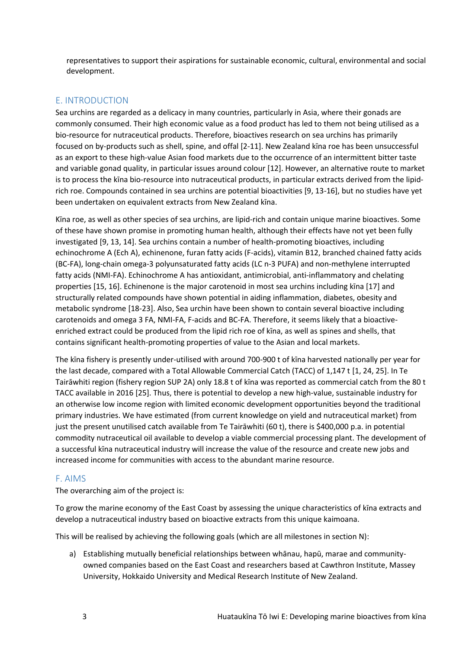representatives to support their aspirations for sustainable economic, cultural, environmental and social development.

## E. INTRODUCTION

Sea urchins are regarded as a delicacy in many countries, particularly in Asia, where their gonads are commonly consumed. Their high economic value as a food product has led to them not being utilised as a bio-resource for nutraceutical products. Therefore, bioactives research on sea urchins has primarily focused on by-products such as shell, spine, and offal [2-11]. New Zealand kīna roe has been unsuccessful as an export to these high-value Asian food markets due to the occurrence of an intermittent bitter taste and variable gonad quality, in particular issues around colour [12]. However, an alternative route to market is to process the kīna bio-resource into nutraceutical products, in particular extracts derived from the lipidrich roe. Compounds contained in sea urchins are potential bioactivities [9, 13-16], but no studies have yet been undertaken on equivalent extracts from New Zealand kīna.

Kīna roe, as well as other species of sea urchins, are lipid-rich and contain unique marine bioactives. Some of these have shown promise in promoting human health, although their effects have not yet been fully investigated [9, 13, 14]. Sea urchins contain a number of health-promoting bioactives, including echinochrome A (Ech A), echinenone, furan fatty acids (F-acids), vitamin B12, branched chained fatty acids (BC-FA), long-chain omega-3 polyunsaturated fatty acids (LC n-3 PUFA) and non-methylene interrupted fatty acids (NMI-FA). Echinochrome A has antioxidant, antimicrobial, anti-inflammatory and chelating properties [15, 16]. Echinenone is the major carotenoid in most sea urchins including kīna [17] and structurally related compounds have shown potential in aiding inflammation, diabetes, obesity and metabolic syndrome [18-23]. Also, Sea urchin have been shown to contain several bioactive including carotenoids and omega 3 FA, NMI-FA, F-acids and BC-FA. Therefore, it seems likely that a bioactiveenriched extract could be produced from the lipid rich roe of kīna, as well as spines and shells, that contains significant health-promoting properties of value to the Asian and local markets.

The kīna fishery is presently under-utilised with around 700-900 t of kīna harvested nationally per year for the last decade, compared with a Total Allowable Commercial Catch (TACC) of 1,147 t [1, 24, 25]. In Te Tairāwhiti region (fishery region SUP 2A) only 18.8 t of kīna was reported as commercial catch from the 80 t TACC available in 2016 [25]. Thus, there is potential to develop a new high-value, sustainable industry for an otherwise low income region with limited economic development opportunities beyond the traditional primary industries. We have estimated (from current knowledge on yield and nutraceutical market) from just the present unutilised catch available from Te Tairāwhiti (60 t), there is \$400,000 p.a. in potential commodity nutraceutical oil available to develop a viable commercial processing plant. The development of a successful kīna nutraceutical industry will increase the value of the resource and create new jobs and increased income for communities with access to the abundant marine resource.

#### F. AIMS

The overarching aim of the project is:

To grow the marine economy of the East Coast by assessing the unique characteristics of kīna extracts and develop a nutraceutical industry based on bioactive extracts from this unique kaimoana.

This will be realised by achieving the following goals (which are all milestones in section N):

a) Establishing mutually beneficial relationships between whānau, hapū, marae and communityowned companies based on the East Coast and researchers based at Cawthron Institute, Massey University, Hokkaido University and Medical Research Institute of New Zealand.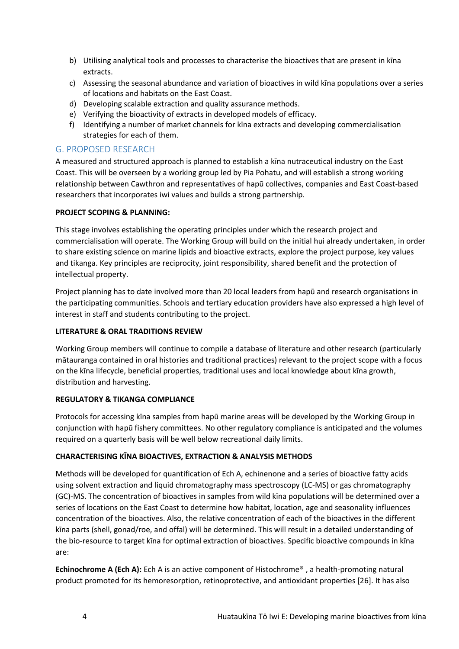- b) Utilising analytical tools and processes to characterise the bioactives that are present in kīna extracts.
- c) Assessing the seasonal abundance and variation of bioactives in wild kīna populations over a series of locations and habitats on the East Coast.
- d) Developing scalable extraction and quality assurance methods.
- e) Verifying the bioactivity of extracts in developed models of efficacy.
- f) Identifying a number of market channels for kīna extracts and developing commercialisation strategies for each of them.

## G. PROPOSED RESEARCH

A measured and structured approach is planned to establish a kīna nutraceutical industry on the East Coast. This will be overseen by a working group led by Pia Pohatu, and will establish a strong working relationship between Cawthron and representatives of hapū collectives, companies and East Coast-based researchers that incorporates iwi values and builds a strong partnership.

#### **PROJECT SCOPING & PLANNING:**

This stage involves establishing the operating principles under which the research project and commercialisation will operate. The Working Group will build on the initial hui already undertaken, in order to share existing science on marine lipids and bioactive extracts, explore the project purpose, key values and tikanga. Key principles are reciprocity, joint responsibility, shared benefit and the protection of intellectual property.

Project planning has to date involved more than 20 local leaders from hapū and research organisations in the participating communities. Schools and tertiary education providers have also expressed a high level of interest in staff and students contributing to the project.

#### **LITERATURE & ORAL TRADITIONS REVIEW**

Working Group members will continue to compile a database of literature and other research (particularly mātauranga contained in oral histories and traditional practices) relevant to the project scope with a focus on the kīna lifecycle, beneficial properties, traditional uses and local knowledge about kīna growth, distribution and harvesting.

## **REGULATORY & TIKANGA COMPLIANCE**

Protocols for accessing kīna samples from hapū marine areas will be developed by the Working Group in conjunction with hapū fishery committees. No other regulatory compliance is anticipated and the volumes required on a quarterly basis will be well below recreational daily limits.

## **CHARACTERISING KĪNA BIOACTIVES, EXTRACTION & ANALYSIS METHODS**

Methods will be developed for quantification of Ech A, echinenone and a series of bioactive fatty acids using solvent extraction and liquid chromatography mass spectroscopy (LC-MS) or gas chromatography (GC)-MS. The concentration of bioactives in samples from wild kīna populations will be determined over a series of locations on the East Coast to determine how habitat, location, age and seasonality influences concentration of the bioactives. Also, the relative concentration of each of the bioactives in the different kīna parts (shell, gonad/roe, and offal) will be determined. This will result in a detailed understanding of the bio-resource to target kīna for optimal extraction of bioactives. Specific bioactive compounds in kīna are:

**Echinochrome A (Ech A):** Ech A is an active component of Histochrome® , a health-promoting natural product promoted for its hemoresorption, retinoprotective, and antioxidant properties [26]. It has also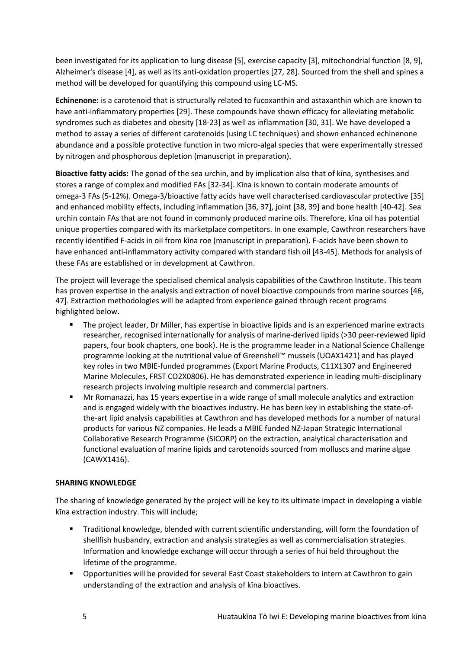been investigated for its application to lung disease [5], exercise capacity [3], mitochondrial function [8, 9], Alzheimer's disease [4], as well as its anti-oxidation properties [27, 28]. Sourced from the shell and spines a method will be developed for quantifying this compound using LC-MS.

**Echinenone:** is a carotenoid that is structurally related to fucoxanthin and astaxanthin which are known to have anti-inflammatory properties [29]. These compounds have shown efficacy for alleviating metabolic syndromes such as diabetes and obesity [18-23] as well as inflammation [30, 31]. We have developed a method to assay a series of different carotenoids (using LC techniques) and shown enhanced echinenone abundance and a possible protective function in two micro-algal species that were experimentally stressed by nitrogen and phosphorous depletion (manuscript in preparation).

**Bioactive fatty acids:** The gonad of the sea urchin, and by implication also that of kīna, synthesises and stores a range of complex and modified FAs [32-34]. Kīna is known to contain moderate amounts of omega-3 FAs (5-12%). Omega-3/bioactive fatty acids have well characterised cardiovascular protective [35] and enhanced mobility effects, including inflammation [36, 37], joint [38, 39] and bone health [40-42]. Sea urchin contain FAs that are not found in commonly produced marine oils. Therefore, kīna oil has potential unique properties compared with its marketplace competitors. In one example, Cawthron researchers have recently identified F-acids in oil from kīna roe (manuscript in preparation). F-acids have been shown to have enhanced anti-inflammatory activity compared with standard fish oil [43-45]. Methods for analysis of these FAs are established or in development at Cawthron.

The project will leverage the specialised chemical analysis capabilities of the Cawthron Institute. This team has proven expertise in the analysis and extraction of novel bioactive compounds from marine sources [46, 47]. Extraction methodologies will be adapted from experience gained through recent programs highlighted below.

- The project leader, Dr Miller, has expertise in bioactive lipids and is an experienced marine extracts researcher, recognised internationally for analysis of marine-derived lipids (>30 peer-reviewed lipid papers, four book chapters, one book). He is the programme leader in a National Science Challenge programme looking at the nutritional value of Greenshell™ mussels (UOAX1421) and has played key roles in two MBIE-funded programmes (Export Marine Products, C11X1307 and Engineered Marine Molecules, FRST CO2X0806). He has demonstrated experience in leading multi-disciplinary research projects involving multiple research and commercial partners.
- Mr Romanazzi, has 15 years expertise in a wide range of small molecule analytics and extraction and is engaged widely with the bioactives industry. He has been key in establishing the state-ofthe-art lipid analysis capabilities at Cawthron and has developed methods for a number of natural products for various NZ companies. He leads a MBIE funded NZ-Japan Strategic International Collaborative Research Programme (SICORP) on the extraction, analytical characterisation and functional evaluation of marine lipids and carotenoids sourced from molluscs and marine algae (CAWX1416).

#### **SHARING KNOWLEDGE**

The sharing of knowledge generated by the project will be key to its ultimate impact in developing a viable kīna extraction industry. This will include;

- Traditional knowledge, blended with current scientific understanding, will form the foundation of shellfish husbandry, extraction and analysis strategies as well as commercialisation strategies. Information and knowledge exchange will occur through a series of hui held throughout the lifetime of the programme.
- Opportunities will be provided for several East Coast stakeholders to intern at Cawthron to gain understanding of the extraction and analysis of kīna bioactives.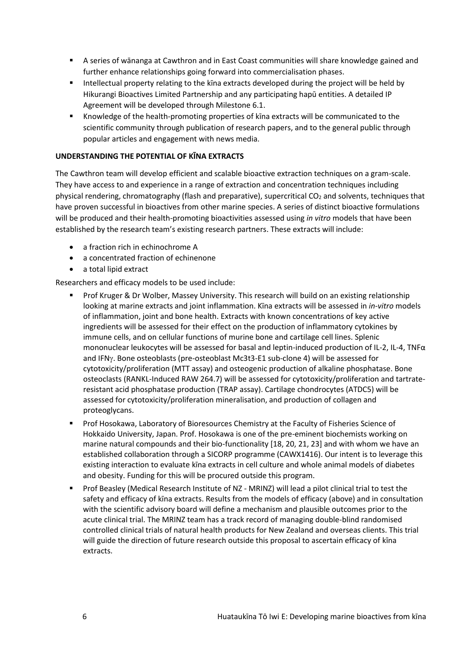- A series of wānanga at Cawthron and in East Coast communities will share knowledge gained and further enhance relationships going forward into commercialisation phases.
- Intellectual property relating to the kina extracts developed during the project will be held by Hikurangi Bioactives Limited Partnership and any participating hapū entities. A detailed IP Agreement will be developed through Milestone 6.1.
- Knowledge of the health-promoting properties of kīna extracts will be communicated to the scientific community through publication of research papers, and to the general public through popular articles and engagement with news media.

#### **UNDERSTANDING THE POTENTIAL OF KĪNA EXTRACTS**

The Cawthron team will develop efficient and scalable bioactive extraction techniques on a gram-scale. They have access to and experience in a range of extraction and concentration techniques including physical rendering, chromatography (flash and preparative), supercritical  $CO<sub>2</sub>$  and solvents, techniques that have proven successful in bioactives from other marine species. A series of distinct bioactive formulations will be produced and their health-promoting bioactivities assessed using *in vitro* models that have been established by the research team's existing research partners. These extracts will include:

- a fraction rich in echinochrome A
- a concentrated fraction of echinenone
- a total lipid extract

Researchers and efficacy models to be used include:

- Prof Kruger & Dr Wolber, Massey University. This research will build on an existing relationship looking at marine extracts and joint inflammation. Kīna extracts will be assessed in *in-vitro* models of inflammation, joint and bone health. Extracts with known concentrations of key active ingredients will be assessed for their effect on the production of inflammatory cytokines by immune cells, and on cellular functions of murine bone and cartilage cell lines. Splenic mononuclear leukocytes will be assessed for basal and leptin-induced production of IL-2, IL-4, TNFα and IFNy. Bone osteoblasts (pre-osteoblast Mc3t3-E1 sub-clone 4) will be assessed for cytotoxicity/proliferation (MTT assay) and osteogenic production of alkaline phosphatase. Bone osteoclasts (RANKL-Induced RAW 264.7) will be assessed for cytotoxicity/proliferation and tartrateresistant acid phosphatase production (TRAP assay). Cartilage chondrocytes (ATDC5) will be assessed for cytotoxicity/proliferation mineralisation, and production of collagen and proteoglycans.
- Prof Hosokawa, Laboratory of Bioresources Chemistry at the Faculty of Fisheries Science of Hokkaido University, Japan. Prof. Hosokawa is one of the pre-eminent biochemists working on marine natural compounds and their bio-functionality [18, 20, 21, 23] and with whom we have an established collaboration through a SICORP programme (CAWX1416). Our intent is to leverage this existing interaction to evaluate kīna extracts in cell culture and whole animal models of diabetes and obesity. Funding for this will be procured outside this program.
- Prof Beasley (Medical Research Institute of NZ MRINZ) will lead a pilot clinical trial to test the safety and efficacy of kīna extracts. Results from the models of efficacy (above) and in consultation with the scientific advisory board will define a mechanism and plausible outcomes prior to the acute clinical trial. The MRINZ team has a track record of managing double-blind randomised controlled clinical trials of natural health products for New Zealand and overseas clients. This trial will guide the direction of future research outside this proposal to ascertain efficacy of kīna extracts.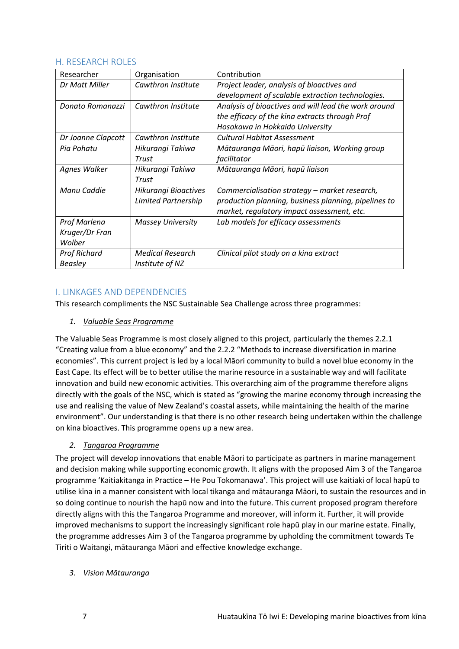#### H. RESEARCH ROLES

| Researcher          | Organisation             | Contribution                                         |
|---------------------|--------------------------|------------------------------------------------------|
| Dr Matt Miller      | Cawthron Institute       | Project leader, analysis of bioactives and           |
|                     |                          | development of scalable extraction technologies.     |
| Donato Romanazzi    | Cawthron Institute       | Analysis of bioactives and will lead the work around |
|                     |                          | the efficacy of the kina extracts through Prof       |
|                     |                          | Hosokawa in Hokkaido University                      |
| Dr Joanne Clapcott  | Cawthron Institute       | <b>Cultural Habitat Assessment</b>                   |
| Pia Pohatu          | Hikurangi Takiwa         | Mātauranga Māori, hapū liaison, Working group        |
|                     | Trust                    | facilitator                                          |
| Agnes Walker        | Hikurangi Takiwa         | Mātauranga Māori, hapū liaison                       |
|                     | Trust                    |                                                      |
| Manu Caddie         | Hikurangi Bioactives     | Commercialisation strategy – market research,        |
|                     | Limited Partnership      | production planning, business planning, pipelines to |
|                     |                          | market, regulatory impact assessment, etc.           |
| Prof Marlena        | <b>Massey University</b> | Lab models for efficacy assessments                  |
| Kruger/Dr Fran      |                          |                                                      |
| Wolber              |                          |                                                      |
| <b>Prof Richard</b> | <b>Medical Research</b>  | Clinical pilot study on a kina extract               |
| <b>Beasley</b>      | Institute of NZ          |                                                      |

## I. LINKAGES AND DEPENDENCIES

This research compliments the NSC Sustainable Sea Challenge across three programmes:

*1. Valuable Seas Programme*

The Valuable Seas Programme is most closely aligned to this project, particularly the themes 2.2.1 "Creating value from a blue economy" and the 2.2.2 "Methods to increase diversification in marine economies". This current project is led by a local Māori community to build a novel blue economy in the East Cape. Its effect will be to better utilise the marine resource in a sustainable way and will facilitate innovation and build new economic activities. This overarching aim of the programme therefore aligns directly with the goals of the NSC, which is stated as "growing the marine economy through increasing the use and realising the value of New Zealand's coastal assets, while maintaining the health of the marine environment". Our understanding is that there is no other research being undertaken within the challenge on kina bioactives. This programme opens up a new area.

## *2. Tangaroa Programme*

The project will develop innovations that enable Māori to participate as partners in marine management and decision making while supporting economic growth. It aligns with the proposed Aim 3 of the Tangaroa programme 'Kaitiakitanga in Practice – He Pou Tokomanawa'. This project will use kaitiaki of local hapū to utilise kīna in a manner consistent with local tikanga and mātauranga Māori, to sustain the resources and in so doing continue to nourish the hapū now and into the future. This current proposed program therefore directly aligns with this the Tangaroa Programme and moreover, will inform it. Further, it will provide improved mechanisms to support the increasingly significant role hapū play in our marine estate. Finally, the programme addresses Aim 3 of the Tangaroa programme by upholding the commitment towards Te Tiriti o Waitangi, mātauranga Māori and effective knowledge exchange.

#### *3. Vision Mātauranga*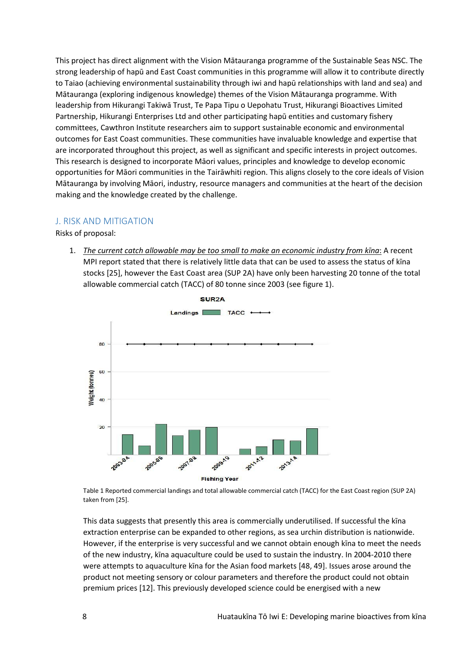This project has direct alignment with the Vision Mātauranga programme of the Sustainable Seas NSC. The strong leadership of hapū and East Coast communities in this programme will allow it to contribute directly to Taiao (achieving environmental sustainability through iwi and hapū relationships with land and sea) and Mātauranga (exploring indigenous knowledge) themes of the Vision Mātauranga programme. With leadership from Hikurangi Takiwā Trust, Te Papa Tipu o Uepohatu Trust, Hikurangi Bioactives Limited Partnership, Hikurangi Enterprises Ltd and other participating hapū entities and customary fishery committees, Cawthron Institute researchers aim to support sustainable economic and environmental outcomes for East Coast communities. These communities have invaluable knowledge and expertise that are incorporated throughout this project, as well as significant and specific interests in project outcomes. This research is designed to incorporate Māori values, principles and knowledge to develop economic opportunities for Māori communities in the Tairāwhiti region. This aligns closely to the core ideals of Vision Mātauranga by involving Māori, industry, resource managers and communities at the heart of the decision making and the knowledge created by the challenge.

#### J. RISK AND MITIGATION

Risks of proposal:

1. *The current catch allowable may be too small to make an economic industry from kīna*: A recent MPI report stated that there is relatively little data that can be used to assess the status of kīna stocks [25], however the East Coast area (SUP 2A) have only been harvesting 20 tonne of the total allowable commercial catch (TACC) of 80 tonne since 2003 (see figure 1).



Table 1 Reported commercial landings and total allowable commercial catch (TACC) for the East Coast region (SUP 2A) taken from [25].

This data suggests that presently this area is commercially underutilised. If successful the kīna extraction enterprise can be expanded to other regions, as sea urchin distribution is nationwide. However, if the enterprise is very successful and we cannot obtain enough kīna to meet the needs of the new industry, kīna aquaculture could be used to sustain the industry. In 2004-2010 there were attempts to aquaculture kīna for the Asian food markets [48, 49]. Issues arose around the product not meeting sensory or colour parameters and therefore the product could not obtain premium prices [12]. This previously developed science could be energised with a new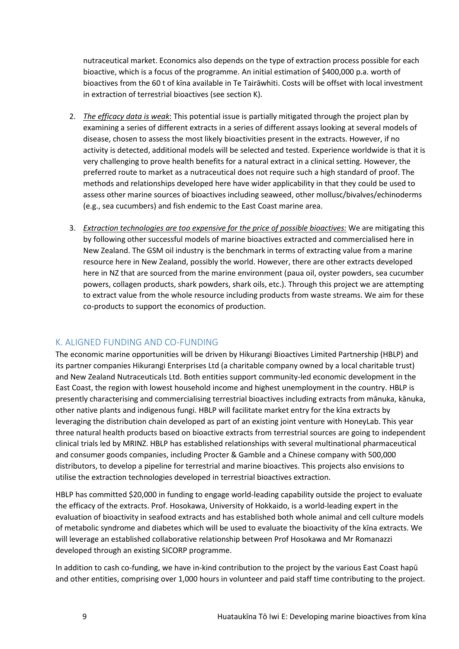nutraceutical market. Economics also depends on the type of extraction process possible for each bioactive, which is a focus of the programme. An initial estimation of \$400,000 p.a. worth of bioactives from the 60 t of kīna available in Te Tairāwhiti. Costs will be offset with local investment in extraction of terrestrial bioactives (see section K).

- 2. *The efficacy data is weak*: This potential issue is partially mitigated through the project plan by examining a series of different extracts in a series of different assays looking at several models of disease, chosen to assess the most likely bioactivities present in the extracts. However, if no activity is detected, additional models will be selected and tested. Experience worldwide is that it is very challenging to prove health benefits for a natural extract in a clinical setting. However, the preferred route to market as a nutraceutical does not require such a high standard of proof. The methods and relationships developed here have wider applicability in that they could be used to assess other marine sources of bioactives including seaweed, other mollusc/bivalves/echinoderms (e.g., sea cucumbers) and fish endemic to the East Coast marine area.
- 3. *Extraction technologies are too expensive for the price of possible bioactives:* We are mitigating this by following other successful models of marine bioactives extracted and commercialised here in New Zealand. The GSM oil industry is the benchmark in terms of extracting value from a marine resource here in New Zealand, possibly the world. However, there are other extracts developed here in NZ that are sourced from the marine environment (paua oil, oyster powders, sea cucumber powers, collagen products, shark powders, shark oils, etc.). Through this project we are attempting to extract value from the whole resource including products from waste streams. We aim for these co-products to support the economics of production.

## K. ALIGNED FUNDING AND CO-FUNDING

The economic marine opportunities will be driven by Hikurangi Bioactives Limited Partnership (HBLP) and its partner companies Hikurangi Enterprises Ltd (a charitable company owned by a local charitable trust) and New Zealand Nutraceuticals Ltd. Both entities support community-led economic development in the East Coast, the region with lowest household income and highest unemployment in the country. HBLP is presently characterising and commercialising terrestrial bioactives including extracts from mānuka, kānuka, other native plants and indigenous fungi. HBLP will facilitate market entry for the kīna extracts by leveraging the distribution chain developed as part of an existing joint venture with HoneyLab. This year three natural health products based on bioactive extracts from terrestrial sources are going to independent clinical trials led by MRINZ. HBLP has established relationships with several multinational pharmaceutical and consumer goods companies, including Procter & Gamble and a Chinese company with 500,000 distributors, to develop a pipeline for terrestrial and marine bioactives. This projects also envisions to utilise the extraction technologies developed in terrestrial bioactives extraction.

HBLP has committed \$20,000 in funding to engage world-leading capability outside the project to evaluate the efficacy of the extracts. Prof. Hosokawa, University of Hokkaido, is a world-leading expert in the evaluation of bioactivity in seafood extracts and has established both whole animal and cell culture models of metabolic syndrome and diabetes which will be used to evaluate the bioactivity of the kīna extracts. We will leverage an established collaborative relationship between Prof Hosokawa and Mr Romanazzi developed through an existing SICORP programme.

In addition to cash co-funding, we have in-kind contribution to the project by the various East Coast hapū and other entities, comprising over 1,000 hours in volunteer and paid staff time contributing to the project.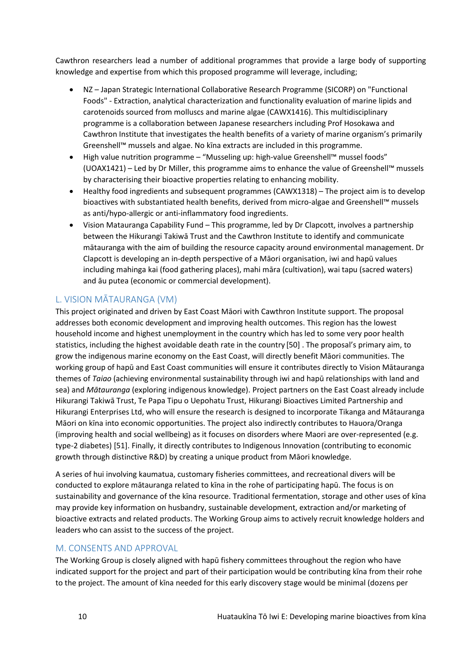Cawthron researchers lead a number of additional programmes that provide a large body of supporting knowledge and expertise from which this proposed programme will leverage, including;

- NZ Japan Strategic International Collaborative Research Programme (SICORP) on "Functional Foods" - Extraction, analytical characterization and functionality evaluation of marine lipids and carotenoids sourced from molluscs and marine algae (CAWX1416). This multidisciplinary programme is a collaboration between Japanese researchers including Prof Hosokawa and Cawthron Institute that investigates the health benefits of a variety of marine organism's primarily Greenshell™ mussels and algae. No kīna extracts are included in this programme.
- High value nutrition programme "Musseling up: high-value Greenshell™ mussel foods" (UOAX1421) – Led by Dr Miller, this programme aims to enhance the value of Greenshell™ mussels by characterising their bioactive properties relating to enhancing mobility.
- Healthy food ingredients and subsequent programmes (CAWX1318) The project aim is to develop bioactives with substantiated health benefits, derived from micro-algae and Greenshell™ mussels as anti/hypo-allergic or anti-inflammatory food ingredients.
- Vision Matauranga Capability Fund This programme, led by Dr Clapcott, involves a partnership between the Hikurangi Takiwā Trust and the Cawthron Institute to identify and communicate mātauranga with the aim of building the resource capacity around environmental management. Dr Clapcott is developing an in-depth perspective of a Māori organisation, iwi and hapū values including mahinga kai (food gathering places), mahi māra (cultivation), wai tapu (sacred waters) and āu putea (economic or commercial development).

# L. VISION MĀTAURANGA (VM)

This project originated and driven by East Coast Māori with Cawthron Institute support. The proposal addresses both economic development and improving health outcomes. This region has the lowest household income and highest unemployment in the country which has led to some very poor health statistics, including the highest avoidable death rate in the country [50] . The proposal's primary aim, to grow the indigenous marine economy on the East Coast, will directly benefit Māori communities. The working group of hapū and East Coast communities will ensure it contributes directly to Vision Mātauranga themes of *Taiao* (achieving environmental sustainability through iwi and hapū relationships with land and sea) and *Mātauranga* (exploring indigenous knowledge). Project partners on the East Coast already include Hikurangi Takiwā Trust, Te Papa Tipu o Uepohatu Trust, Hikurangi Bioactives Limited Partnership and Hikurangi Enterprises Ltd, who will ensure the research is designed to incorporate Tikanga and Mātauranga Māori on kīna into economic opportunities. The project also indirectly contributes to Hauora/Oranga (improving health and social wellbeing) as it focuses on disorders where Maori are over-represented (e.g. type-2 diabetes) [51]. Finally, it directly contributes to Indigenous Innovation (contributing to economic growth through distinctive R&D) by creating a unique product from Māori knowledge.

A series of hui involving kaumatua, customary fisheries committees, and recreational divers will be conducted to explore mātauranga related to kīna in the rohe of participating hapū. The focus is on sustainability and governance of the kīna resource. Traditional fermentation, storage and other uses of kīna may provide key information on husbandry, sustainable development, extraction and/or marketing of bioactive extracts and related products. The Working Group aims to actively recruit knowledge holders and leaders who can assist to the success of the project.

## M. CONSENTS AND APPROVAL

The Working Group is closely aligned with hapū fishery committees throughout the region who have indicated support for the project and part of their participation would be contributing kīna from their rohe to the project. The amount of kīna needed for this early discovery stage would be minimal (dozens per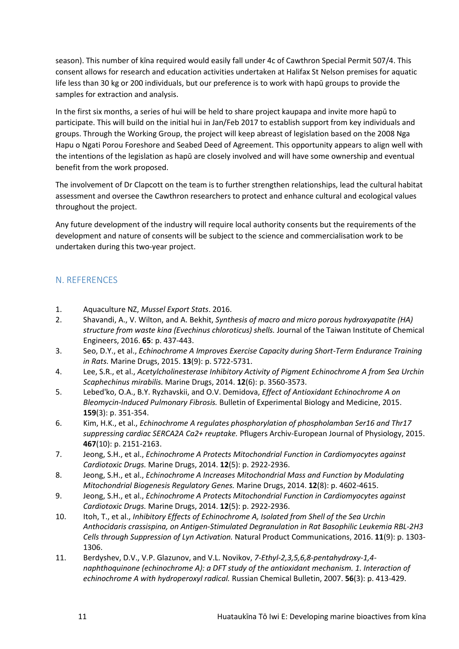season). This number of kīna required would easily fall under 4c of Cawthron Special Permit 507/4. This consent allows for research and education activities undertaken at Halifax St Nelson premises for aquatic life less than 30 kg or 200 individuals, but our preference is to work with hapū groups to provide the samples for extraction and analysis.

In the first six months, a series of hui will be held to share project kaupapa and invite more hapū to participate. This will build on the initial hui in Jan/Feb 2017 to establish support from key individuals and groups. Through the Working Group, the project will keep abreast of legislation based on the 2008 Nga Hapu o Ngati Porou Foreshore and Seabed Deed of Agreement. This opportunity appears to align well with the intentions of the legislation as hapū are closely involved and will have some ownership and eventual benefit from the work proposed.

The involvement of Dr Clapcott on the team is to further strengthen relationships, lead the cultural habitat assessment and oversee the Cawthron researchers to protect and enhance cultural and ecological values throughout the project.

Any future development of the industry will require local authority consents but the requirements of the development and nature of consents will be subject to the science and commercialisation work to be undertaken during this two-year project.

## N. REFERENCES

- 1. Aquaculture NZ, *Mussel Export Stats*. 2016.
- 2. Shavandi, A., V. Wilton, and A. Bekhit, *Synthesis of macro and micro porous hydroxyapatite (HA) structure from waste kina (Evechinus chloroticus) shells.* Journal of the Taiwan Institute of Chemical Engineers, 2016. **65**: p. 437-443.
- 3. Seo, D.Y., et al., *Echinochrome A Improves Exercise Capacity during Short-Term Endurance Training in Rats.* Marine Drugs, 2015. **13**(9): p. 5722-5731.
- 4. Lee, S.R., et al., *Acetylcholinesterase Inhibitory Activity of Pigment Echinochrome A from Sea Urchin Scaphechinus mirabilis.* Marine Drugs, 2014. **12**(6): p. 3560-3573.
- 5. Lebed'ko, O.A., B.Y. Ryzhavskii, and O.V. Demidova, *Effect of Antioxidant Echinochrome A on Bleomycin-Induced Pulmonary Fibrosis.* Bulletin of Experimental Biology and Medicine, 2015. **159**(3): p. 351-354.
- 6. Kim, H.K., et al., *Echinochrome A regulates phosphorylation of phospholamban Ser16 and Thr17 suppressing cardiac SERCA2A Ca2+ reuptake.* Pflugers Archiv-European Journal of Physiology, 2015. **467**(10): p. 2151-2163.
- 7. Jeong, S.H., et al., *Echinochrome A Protects Mitochondrial Function in Cardiomyocytes against Cardiotoxic Drugs.* Marine Drugs, 2014. **12**(5): p. 2922-2936.
- 8. Jeong, S.H., et al., *Echinochrome A Increases Mitochondrial Mass and Function by Modulating Mitochondrial Biogenesis Regulatory Genes.* Marine Drugs, 2014. **12**(8): p. 4602-4615.
- 9. Jeong, S.H., et al., *Echinochrome A Protects Mitochondrial Function in Cardiomyocytes against Cardiotoxic Drugs.* Marine Drugs, 2014. **12**(5): p. 2922-2936.
- 10. Itoh, T., et al., *Inhibitory Effects of Echinochrome A, Isolated from Shell of the Sea Urchin Anthocidaris crassispina, on Antigen-Stimulated Degranulation in Rat Basophilic Leukemia RBL-2H3 Cells through Suppression of Lyn Activation.* Natural Product Communications, 2016. **11**(9): p. 1303- 1306.
- 11. Berdyshev, D.V., V.P. Glazunov, and V.L. Novikov, *7-Ethyl-2,3,5,6,8-pentahydroxy-1,4 naphthoquinone (echinochrome A): a DFT study of the antioxidant mechanism. 1. Interaction of echinochrome A with hydroperoxyl radical.* Russian Chemical Bulletin, 2007. **56**(3): p. 413-429.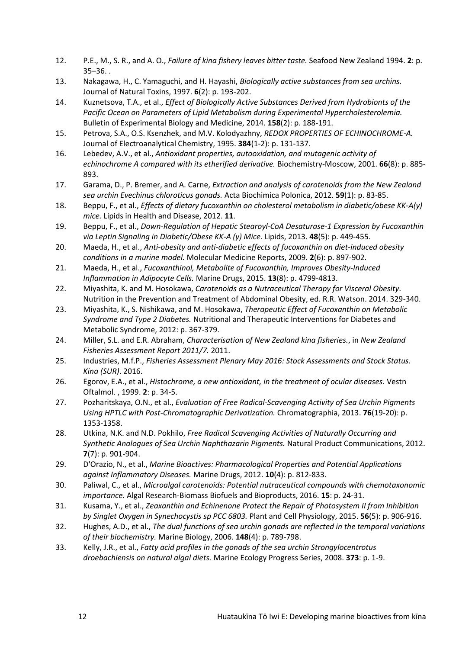- 12. P.E., M., S. R., and A. O., *Failure of kina fishery leaves bitter taste.* Seafood New Zealand 1994. **2**: p. 35–36. .
- 13. Nakagawa, H., C. Yamaguchi, and H. Hayashi, *Biologically active substances from sea urchins.* Journal of Natural Toxins, 1997. **6**(2): p. 193-202.
- 14. Kuznetsova, T.A., et al., *Effect of Biologically Active Substances Derived from Hydrobionts of the Pacific Ocean on Parameters of Lipid Metabolism during Experimental Hypercholesterolemia.* Bulletin of Experimental Biology and Medicine, 2014. **158**(2): p. 188-191.
- 15. Petrova, S.A., O.S. Ksenzhek, and M.V. Kolodyazhny, *REDOX PROPERTIES OF ECHINOCHROME-A.* Journal of Electroanalytical Chemistry, 1995. **384**(1-2): p. 131-137.
- 16. Lebedev, A.V., et al., *Antioxidant properties, autooxidation, and mutagenic activity of echinochrome A compared with its etherified derivative.* Biochemistry-Moscow, 2001. **66**(8): p. 885- 893.
- 17. Garama, D., P. Bremer, and A. Carne, *Extraction and analysis of carotenoids from the New Zealand sea urchin Evechinus chloroticus gonads.* Acta Biochimica Polonica, 2012. **59**(1): p. 83-85.
- 18. Beppu, F., et al., *Effects of dietary fucoxanthin on cholesterol metabolism in diabetic/obese KK-A(y) mice.* Lipids in Health and Disease, 2012. **11**.
- 19. Beppu, F., et al., *Down-Regulation of Hepatic Stearoyl-CoA Desaturase-1 Expression by Fucoxanthin via Leptin Signaling in Diabetic/Obese KK-A (y) Mice.* Lipids, 2013. **48**(5): p. 449-455.
- 20. Maeda, H., et al., *Anti-obesity and anti-diabetic effects of fucoxanthin on diet-induced obesity conditions in a murine model.* Molecular Medicine Reports, 2009. **2**(6): p. 897-902.
- 21. Maeda, H., et al., *Fucoxanthinol, Metabolite of Fucoxanthin, Improves Obesity-Induced Inflammation in Adipocyte Cells.* Marine Drugs, 2015. **13**(8): p. 4799-4813.
- 22. Miyashita, K. and M. Hosokawa, *Carotenoids as a Nutraceutical Therapy for Visceral Obesity*. Nutrition in the Prevention and Treatment of Abdominal Obesity, ed. R.R. Watson. 2014. 329-340.
- 23. Miyashita, K., S. Nishikawa, and M. Hosokawa, *Therapeutic Effect of Fucoxanthin on Metabolic Syndrome and Type 2 Diabetes.* Nutritional and Therapeutic Interventions for Diabetes and Metabolic Syndrome, 2012: p. 367-379.
- 24. Miller, S.L. and E.R. Abraham, *Characterisation of New Zealand kina fisheries.*, in *New Zealand Fisheries Assessment Report 2011/7.* 2011.
- 25. Industries, M.f.P., *Fisheries Assessment Plenary May 2016: Stock Assessments and Stock Status. Kina (SUR)*. 2016.
- 26. Egorov, E.A., et al., *Histochrome, a new antioxidant, in the treatment of ocular diseases.* Vestn Oftalmol. , 1999. **2**: p. 34-5.
- 27. Pozharitskaya, O.N., et al., *Evaluation of Free Radical-Scavenging Activity of Sea Urchin Pigments Using HPTLC with Post-Chromatographic Derivatization.* Chromatographia, 2013. **76**(19-20): p. 1353-1358.
- 28. Utkina, N.K. and N.D. Pokhilo, *Free Radical Scavenging Activities of Naturally Occurring and Synthetic Analogues of Sea Urchin Naphthazarin Pigments.* Natural Product Communications, 2012. **7**(7): p. 901-904.
- 29. D'Orazio, N., et al., *Marine Bioactives: Pharmacological Properties and Potential Applications against Inflammatory Diseases.* Marine Drugs, 2012. **10**(4): p. 812-833.
- 30. Paliwal, C., et al., *Microalgal carotenoids: Potential nutraceutical compounds with chemotaxonomic importance.* Algal Research-Biomass Biofuels and Bioproducts, 2016. **15**: p. 24-31.
- 31. Kusama, Y., et al., *Zeaxanthin and Echinenone Protect the Repair of Photosystem II from Inhibition by Singlet Oxygen in Synechocystis sp PCC 6803.* Plant and Cell Physiology, 2015. **56**(5): p. 906-916.
- 32. Hughes, A.D., et al., *The dual functions of sea urchin gonads are reflected in the temporal variations of their biochemistry.* Marine Biology, 2006. **148**(4): p. 789-798.
- 33. Kelly, J.R., et al., *Fatty acid profiles in the gonads of the sea urchin Strongylocentrotus droebachiensis on natural algal diets.* Marine Ecology Progress Series, 2008. **373**: p. 1-9.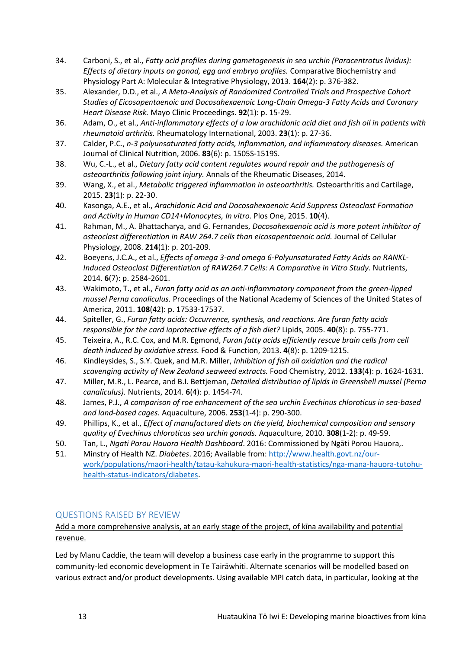- 34. Carboni, S., et al., *Fatty acid profiles during gametogenesis in sea urchin (Paracentrotus lividus): Effects of dietary inputs on gonad, egg and embryo profiles.* Comparative Biochemistry and Physiology Part A: Molecular & Integrative Physiology, 2013. **164**(2): p. 376-382.
- 35. Alexander, D.D., et al., *A Meta-Analysis of Randomized Controlled Trials and Prospective Cohort Studies of Eicosapentaenoic and Docosahexaenoic Long-Chain Omega-3 Fatty Acids and Coronary Heart Disease Risk.* Mayo Clinic Proceedings. **92**(1): p. 15-29.
- 36. Adam, O., et al., *Anti-inflammatory effects of a low arachidonic acid diet and fish oil in patients with rheumatoid arthritis.* Rheumatology International, 2003. **23**(1): p. 27-36.
- 37. Calder, P.C., *n-3 polyunsaturated fatty acids, inflammation, and inflammatory diseases.* American Journal of Clinical Nutrition, 2006. **83**(6): p. 1505S-1519S.
- 38. Wu, C.-L., et al., *Dietary fatty acid content regulates wound repair and the pathogenesis of osteoarthritis following joint injury.* Annals of the Rheumatic Diseases, 2014.
- 39. Wang, X., et al., *Metabolic triggered inflammation in osteoarthritis.* Osteoarthritis and Cartilage, 2015. **23**(1): p. 22-30.
- 40. Kasonga, A.E., et al., *Arachidonic Acid and Docosahexaenoic Acid Suppress Osteoclast Formation and Activity in Human CD14+Monocytes, In vitro.* Plos One, 2015. **10**(4).
- 41. Rahman, M., A. Bhattacharya, and G. Fernandes, *Docosahexaenoic acid is more potent inhibitor of osteoclast differentiation in RAW 264.7 cells than eicosapentaenoic acid.* Journal of Cellular Physiology, 2008. **214**(1): p. 201-209.
- 42. Boeyens, J.C.A., et al., *Effects of omega 3-and omega 6-Polyunsaturated Fatty Acids on RANKL-Induced Osteoclast Differentiation of RAW264.7 Cells: A Comparative in Vitro Study.* Nutrients, 2014. **6**(7): p. 2584-2601.
- 43. Wakimoto, T., et al., *Furan fatty acid as an anti-inflammatory component from the green-lipped mussel Perna canaliculus.* Proceedings of the National Academy of Sciences of the United States of America, 2011. **108**(42): p. 17533-17537.
- 44. Spiteller, G., *Furan fatty acids: Occurrence, synthesis, and reactions. Are furan fatty acids responsible for the card ioprotective effects of a fish diet?* Lipids, 2005. **40**(8): p. 755-771.
- 45. Teixeira, A., R.C. Cox, and M.R. Egmond, *Furan fatty acids efficiently rescue brain cells from cell death induced by oxidative stress.* Food & Function, 2013. **4**(8): p. 1209-1215.
- 46. Kindleysides, S., S.Y. Quek, and M.R. Miller, *Inhibition of fish oil oxidation and the radical scavenging activity of New Zealand seaweed extracts.* Food Chemistry, 2012. **133**(4): p. 1624-1631.
- 47. Miller, M.R., L. Pearce, and B.I. Bettjeman, *Detailed distribution of lipids in Greenshell mussel (Perna canaliculus).* Nutrients, 2014. **6**(4): p. 1454-74.
- 48. James, P.J., *A comparison of roe enhancement of the sea urchin Evechinus chloroticus in sea-based and land-based cages.* Aquaculture, 2006. **253**(1-4): p. 290-300.
- 49. Phillips, K., et al., *Effect of manufactured diets on the yield, biochemical composition and sensory quality of Evechinus chloroticus sea urchin gonads.* Aquaculture, 2010. **308**(1-2): p. 49-59.
- 50. Tan, L., *Ngati Porou Hauora Health Dashboard*. 2016: Commissioned by Ngāti Porou Hauora,.
- 51. Minstry of Health NZ. *Diabetes*. 2016; Available from[: http://www.health.govt.nz/our](http://www.health.govt.nz/our-work/populations/maori-health/tatau-kahukura-maori-health-statistics/nga-mana-hauora-tutohu-health-status-indicators/diabetes)[work/populations/maori-health/tatau-kahukura-maori-health-statistics/nga-mana-hauora-tutohu](http://www.health.govt.nz/our-work/populations/maori-health/tatau-kahukura-maori-health-statistics/nga-mana-hauora-tutohu-health-status-indicators/diabetes)[health-status-indicators/diabetes.](http://www.health.govt.nz/our-work/populations/maori-health/tatau-kahukura-maori-health-statistics/nga-mana-hauora-tutohu-health-status-indicators/diabetes)

## QUESTIONS RAISED BY REVIEW

## Add a more comprehensive analysis, at an early stage of the project, of kīna availability and potential revenue.

Led by Manu Caddie, the team will develop a business case early in the programme to support this community-led economic development in Te Tairāwhiti. Alternate scenarios will be modelled based on various extract and/or product developments. Using available MPI catch data, in particular, looking at the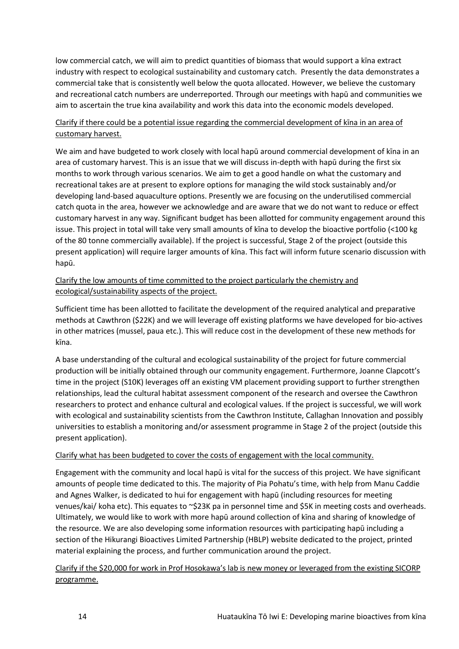low commercial catch, we will aim to predict quantities of biomass that would support a kīna extract industry with respect to ecological sustainability and customary catch. Presently the data demonstrates a commercial take that is consistently well below the quota allocated. However, we believe the customary and recreational catch numbers are underreported. Through our meetings with hapū and communities we aim to ascertain the true kina availability and work this data into the economic models developed.

#### Clarify if there could be a potential issue regarding the commercial development of kīna in an area of customary harvest.

We aim and have budgeted to work closely with local hapū around commercial development of kīna in an area of customary harvest. This is an issue that we will discuss in-depth with hapū during the first six months to work through various scenarios. We aim to get a good handle on what the customary and recreational takes are at present to explore options for managing the wild stock sustainably and/or developing land-based aquaculture options. Presently we are focusing on the underutilised commercial catch quota in the area, however we acknowledge and are aware that we do not want to reduce or effect customary harvest in any way. Significant budget has been allotted for community engagement around this issue. This project in total will take very small amounts of kīna to develop the bioactive portfolio (<100 kg of the 80 tonne commercially available). If the project is successful, Stage 2 of the project (outside this present application) will require larger amounts of kīna. This fact will inform future scenario discussion with hapū.

## Clarify the low amounts of time committed to the project particularly the chemistry and ecological/sustainability aspects of the project.

Sufficient time has been allotted to facilitate the development of the required analytical and preparative methods at Cawthron (\$22K) and we will leverage off existing platforms we have developed for bio-actives in other matrices (mussel, paua etc.). This will reduce cost in the development of these new methods for kīna.

A base understanding of the cultural and ecological sustainability of the project for future commercial production will be initially obtained through our community engagement. Furthermore, Joanne Clapcott's time in the project (S10K) leverages off an existing VM placement providing support to further strengthen relationships, lead the cultural habitat assessment component of the research and oversee the Cawthron researchers to protect and enhance cultural and ecological values. If the project is successful, we will work with ecological and sustainability scientists from the Cawthron Institute, Callaghan Innovation and possibly universities to establish a monitoring and/or assessment programme in Stage 2 of the project (outside this present application).

#### Clarify what has been budgeted to cover the costs of engagement with the local community.

Engagement with the community and local hapū is vital for the success of this project. We have significant amounts of people time dedicated to this. The majority of Pia Pohatu's time, with help from Manu Caddie and Agnes Walker, is dedicated to hui for engagement with hapū (including resources for meeting venues/kai/ koha etc). This equates to ~\$23K pa in personnel time and \$5K in meeting costs and overheads. Ultimately, we would like to work with more hapū around collection of kīna and sharing of knowledge of the resource. We are also developing some information resources with participating hapū including a section of the Hikurangi Bioactives Limited Partnership (HBLP) website dedicated to the project, printed material explaining the process, and further communication around the project.

#### Clarify if the \$20,000 for work in Prof Hosokawa's lab is new money or leveraged from the existing SICORP programme.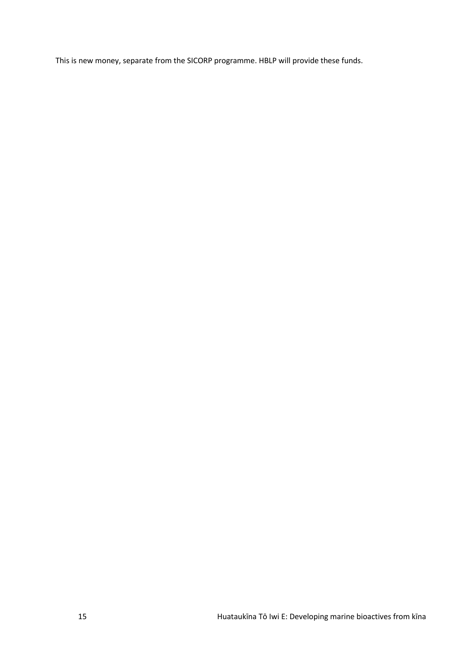This is new money, separate from the SICORP programme. HBLP will provide these funds.